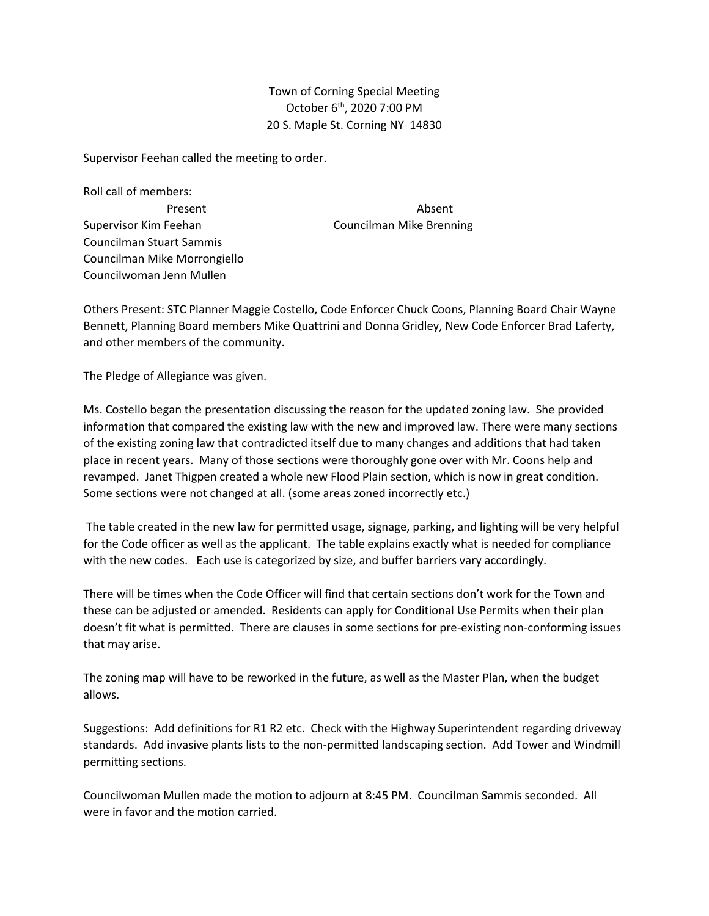Town of Corning Special Meeting October 6<sup>th</sup>, 2020 7:00 PM 20 S. Maple St. Corning NY 14830

Supervisor Feehan called the meeting to order.

Roll call of members: Supervisor Kim Feehan Councilman Mike Brenning Councilman Stuart Sammis Councilman Mike Morrongiello Councilwoman Jenn Mullen

Present **Absent** 

Others Present: STC Planner Maggie Costello, Code Enforcer Chuck Coons, Planning Board Chair Wayne Bennett, Planning Board members Mike Quattrini and Donna Gridley, New Code Enforcer Brad Laferty, and other members of the community.

The Pledge of Allegiance was given.

Ms. Costello began the presentation discussing the reason for the updated zoning law. She provided information that compared the existing law with the new and improved law. There were many sections of the existing zoning law that contradicted itself due to many changes and additions that had taken place in recent years. Many of those sections were thoroughly gone over with Mr. Coons help and revamped. Janet Thigpen created a whole new Flood Plain section, which is now in great condition. Some sections were not changed at all. (some areas zoned incorrectly etc.)

The table created in the new law for permitted usage, signage, parking, and lighting will be very helpful for the Code officer as well as the applicant. The table explains exactly what is needed for compliance with the new codes. Each use is categorized by size, and buffer barriers vary accordingly.

There will be times when the Code Officer will find that certain sections don't work for the Town and these can be adjusted or amended. Residents can apply for Conditional Use Permits when their plan doesn't fit what is permitted. There are clauses in some sections for pre-existing non-conforming issues that may arise.

The zoning map will have to be reworked in the future, as well as the Master Plan, when the budget allows.

Suggestions: Add definitions for R1 R2 etc. Check with the Highway Superintendent regarding driveway standards. Add invasive plants lists to the non-permitted landscaping section. Add Tower and Windmill permitting sections.

Councilwoman Mullen made the motion to adjourn at 8:45 PM. Councilman Sammis seconded. All were in favor and the motion carried.